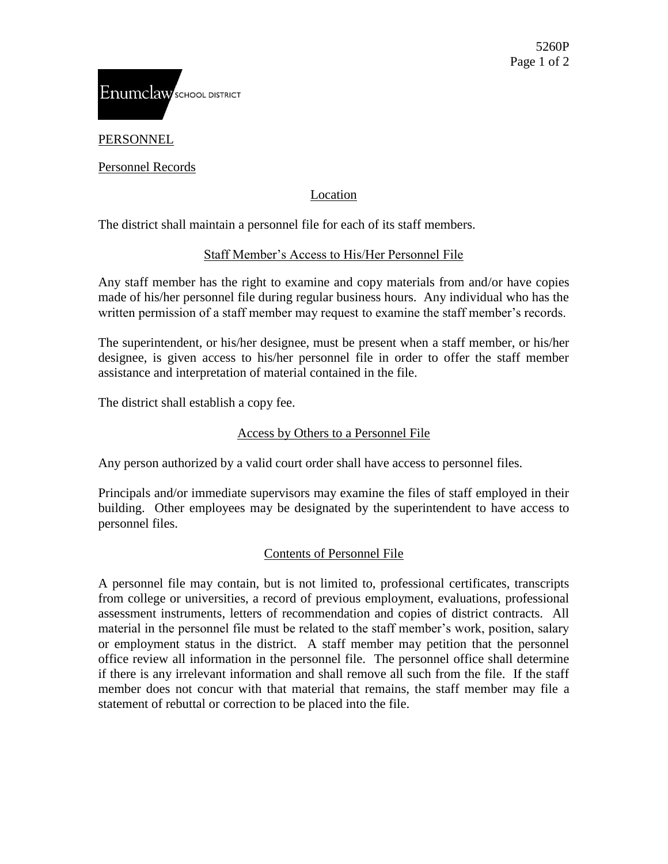

PERSONNEL

Personnel Records

# Location

The district shall maintain a personnel file for each of its staff members.

# Staff Member's Access to His/Her Personnel File

Any staff member has the right to examine and copy materials from and/or have copies made of his/her personnel file during regular business hours. Any individual who has the written permission of a staff member may request to examine the staff member's records.

The superintendent, or his/her designee, must be present when a staff member, or his/her designee, is given access to his/her personnel file in order to offer the staff member assistance and interpretation of material contained in the file.

The district shall establish a copy fee.

# Access by Others to a Personnel File

Any person authorized by a valid court order shall have access to personnel files.

Principals and/or immediate supervisors may examine the files of staff employed in their building. Other employees may be designated by the superintendent to have access to personnel files.

# Contents of Personnel File

A personnel file may contain, but is not limited to, professional certificates, transcripts from college or universities, a record of previous employment, evaluations, professional assessment instruments, letters of recommendation and copies of district contracts. All material in the personnel file must be related to the staff member's work, position, salary or employment status in the district. A staff member may petition that the personnel office review all information in the personnel file. The personnel office shall determine if there is any irrelevant information and shall remove all such from the file. If the staff member does not concur with that material that remains, the staff member may file a statement of rebuttal or correction to be placed into the file.